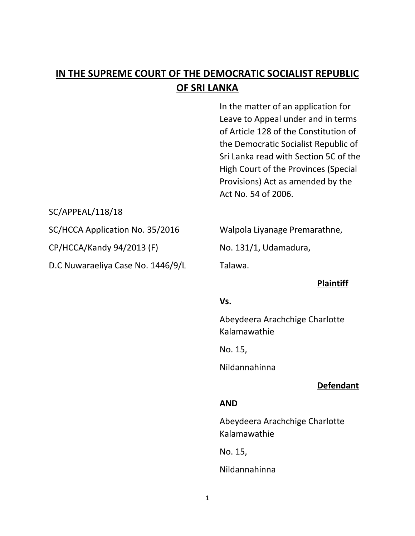# **IN THE SUPREME COURT OF THE DEMOCRATIC SOCIALIST REPUBLIC OF SRI LANKA**

In the matter of an application for Leave to Appeal under and in terms of Article 128 of the Constitution of the Democratic Socialist Republic of Sri Lanka read with Section 5C of the High Court of the Provinces (Special Provisions) Act as amended by the Act No. 54 of 2006.

SC/APPEAL/118/18

SC/HCCA Application No. 35/2016 Walpola Liyanage Premarathne,

CP/HCCA/Kandy 94/2013 (F) No. 131/1, Udamadura,

D.C Nuwaraeliya Case No. 1446/9/L Talawa.

# **Plaintiff**

#### **Vs.**

Abeydeera Arachchige Charlotte Kalamawathie

No. 15,

Nildannahinna

# **Defendant**

# **AND**

Abeydeera Arachchige Charlotte Kalamawathie

No. 15,

Nildannahinna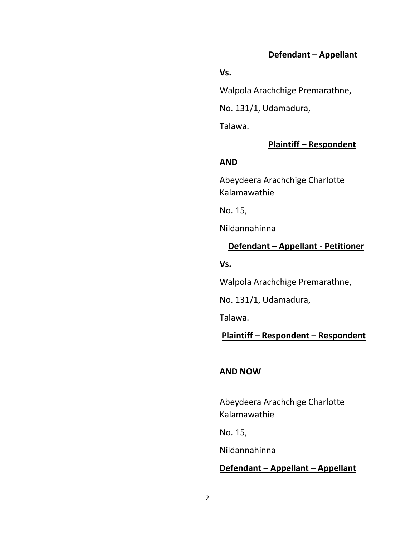# **Defendant – Appellant**

#### **Vs.**

Walpola Arachchige Premarathne,

No. 131/1, Udamadura,

Talawa.

# **Plaintiff – Respondent**

#### **AND**

Abeydeera Arachchige Charlotte Kalamawathie

No. 15,

Nildannahinna

# **Defendant – Appellant - Petitioner**

**Vs.**

Walpola Arachchige Premarathne,

No. 131/1, Udamadura,

Talawa.

# **Plaintiff – Respondent – Respondent**

#### **AND NOW**

Abeydeera Arachchige Charlotte Kalamawathie

No. 15,

Nildannahinna

# **Defendant – Appellant – Appellant**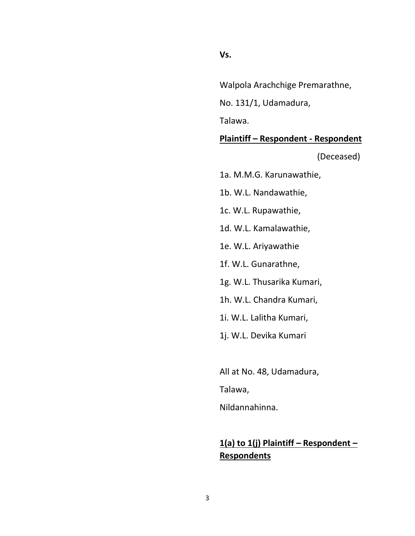#### **Vs.**

Walpola Arachchige Premarathne,

No. 131/1, Udamadura,

Talawa.

# **Plaintiff – Respondent - Respondent**

(Deceased)

1a. M.M.G. Karunawathie,

1b. W.L. Nandawathie,

1c. W.L. Rupawathie,

1d. W.L. Kamalawathie,

1e. W.L. Ariyawathie

1f. W.L. Gunarathne,

1g. W.L. Thusarika Kumari,

1h. W.L. Chandra Kumari,

1i. W.L. Lalitha Kumari,

1j. W.L. Devika Kumari

All at No. 48, Udamadura,

Talawa,

Nildannahinna.

# **1(a) to 1(j) Plaintiff – Respondent – Respondents**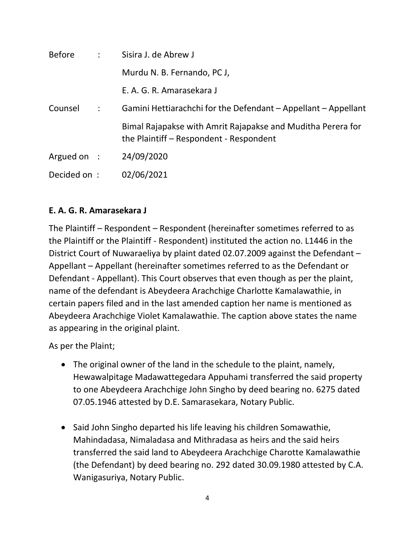| Before       | $\sim 10^{-11}$      | Sisira J. de Abrew J                                                                                   |
|--------------|----------------------|--------------------------------------------------------------------------------------------------------|
|              |                      | Murdu N. B. Fernando, PC J,                                                                            |
|              |                      | E. A. G. R. Amarasekara J                                                                              |
| Counsel      | $\ddot{\phantom{a}}$ | Gamini Hettiarachchi for the Defendant – Appellant – Appellant                                         |
|              |                      | Bimal Rajapakse with Amrit Rajapakse and Muditha Perera for<br>the Plaintiff – Respondent - Respondent |
| Argued on :  |                      | 24/09/2020                                                                                             |
| Decided on : |                      | 02/06/2021                                                                                             |

# **E. A. G. R. Amarasekara J**

The Plaintiff – Respondent – Respondent (hereinafter sometimes referred to as the Plaintiff or the Plaintiff - Respondent) instituted the action no. L1446 in the District Court of Nuwaraeliya by plaint dated 02.07.2009 against the Defendant – Appellant – Appellant (hereinafter sometimes referred to as the Defendant or Defendant - Appellant). This Court observes that even though as per the plaint, name of the defendant is Abeydeera Arachchige Charlotte Kamalawathie, in certain papers filed and in the last amended caption her name is mentioned as Abeydeera Arachchige Violet Kamalawathie. The caption above states the name as appearing in the original plaint.

As per the Plaint;

- The original owner of the land in the schedule to the plaint, namely, Hewawalpitage Madawattegedara Appuhami transferred the said property to one Abeydeera Arachchige John Singho by deed bearing no. 6275 dated 07.05.1946 attested by D.E. Samarasekara, Notary Public.
- Said John Singho departed his life leaving his children Somawathie, Mahindadasa, Nimaladasa and Mithradasa as heirs and the said heirs transferred the said land to Abeydeera Arachchige Charotte Kamalawathie (the Defendant) by deed bearing no. 292 dated 30.09.1980 attested by C.A. Wanigasuriya, Notary Public.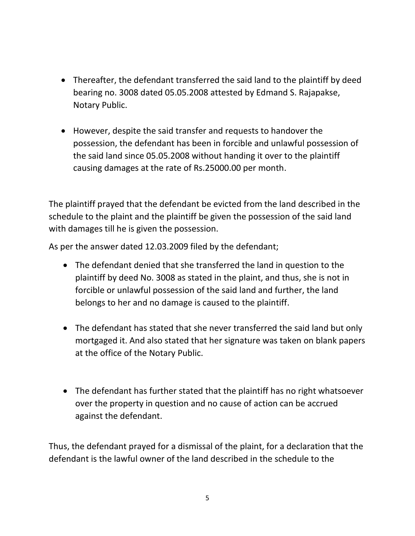- Thereafter, the defendant transferred the said land to the plaintiff by deed bearing no. 3008 dated 05.05.2008 attested by Edmand S. Rajapakse, Notary Public.
- However, despite the said transfer and requests to handover the possession, the defendant has been in forcible and unlawful possession of the said land since 05.05.2008 without handing it over to the plaintiff causing damages at the rate of Rs.25000.00 per month.

The plaintiff prayed that the defendant be evicted from the land described in the schedule to the plaint and the plaintiff be given the possession of the said land with damages till he is given the possession.

As per the answer dated 12.03.2009 filed by the defendant;

- The defendant denied that she transferred the land in question to the plaintiff by deed No. 3008 as stated in the plaint, and thus, she is not in forcible or unlawful possession of the said land and further, the land belongs to her and no damage is caused to the plaintiff.
- The defendant has stated that she never transferred the said land but only mortgaged it. And also stated that her signature was taken on blank papers at the office of the Notary Public.
- The defendant has further stated that the plaintiff has no right whatsoever over the property in question and no cause of action can be accrued against the defendant.

Thus, the defendant prayed for a dismissal of the plaint, for a declaration that the defendant is the lawful owner of the land described in the schedule to the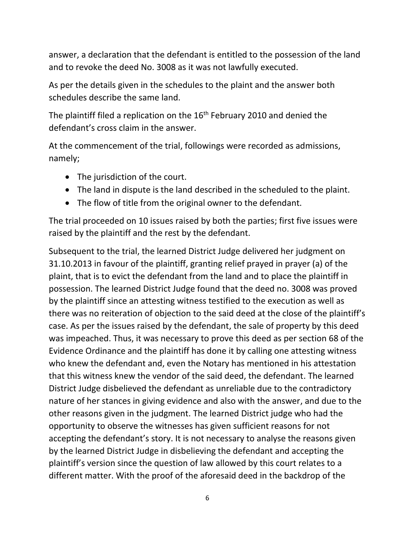answer, a declaration that the defendant is entitled to the possession of the land and to revoke the deed No. 3008 as it was not lawfully executed.

As per the details given in the schedules to the plaint and the answer both schedules describe the same land.

The plaintiff filed a replication on the  $16<sup>th</sup>$  February 2010 and denied the defendant's cross claim in the answer.

At the commencement of the trial, followings were recorded as admissions, namely;

- The jurisdiction of the court.
- The land in dispute is the land described in the scheduled to the plaint.
- The flow of title from the original owner to the defendant.

The trial proceeded on 10 issues raised by both the parties; first five issues were raised by the plaintiff and the rest by the defendant.

Subsequent to the trial, the learned District Judge delivered her judgment on 31.10.2013 in favour of the plaintiff, granting relief prayed in prayer (a) of the plaint, that is to evict the defendant from the land and to place the plaintiff in possession. The learned District Judge found that the deed no. 3008 was proved by the plaintiff since an attesting witness testified to the execution as well as there was no reiteration of objection to the said deed at the close of the plaintiff's case. As per the issues raised by the defendant, the sale of property by this deed was impeached. Thus, it was necessary to prove this deed as per section 68 of the Evidence Ordinance and the plaintiff has done it by calling one attesting witness who knew the defendant and, even the Notary has mentioned in his attestation that this witness knew the vendor of the said deed, the defendant. The learned District Judge disbelieved the defendant as unreliable due to the contradictory nature of her stances in giving evidence and also with the answer, and due to the other reasons given in the judgment. The learned District judge who had the opportunity to observe the witnesses has given sufficient reasons for not accepting the defendant's story. It is not necessary to analyse the reasons given by the learned District Judge in disbelieving the defendant and accepting the plaintiff's version since the question of law allowed by this court relates to a different matter. With the proof of the aforesaid deed in the backdrop of the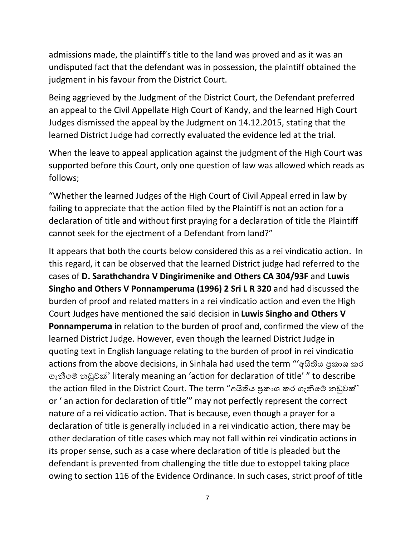admissions made, the plaintiff's title to the land was proved and as it was an undisputed fact that the defendant was in possession, the plaintiff obtained the judgment in his favour from the District Court.

Being aggrieved by the Judgment of the District Court, the Defendant preferred an appeal to the Civil Appellate High Court of Kandy, and the learned High Court Judges dismissed the appeal by the Judgment on 14.12.2015, stating that the learned District Judge had correctly evaluated the evidence led at the trial.

When the leave to appeal application against the judgment of the High Court was supported before this Court, only one question of law was allowed which reads as follows;

"Whether the learned Judges of the High Court of Civil Appeal erred in law by failing to appreciate that the action filed by the Plaintiff is not an action for a declaration of title and without first praying for a declaration of title the Plaintiff cannot seek for the ejectment of a Defendant from land?"

It appears that both the courts below considered this as a rei vindicatio action. In this regard, it can be observed that the learned District judge had referred to the cases of **D. Sarathchandra V Dingirimenike and Others CA 304/93F** and **Luwis Singho and Others V Ponnamperuma (1996) 2 Sri L R 320** and had discussed the burden of proof and related matters in a rei vindicatio action and even the High Court Judges have mentioned the said decision in **Luwis Singho and Others V Ponnamperuma** in relation to the burden of proof and, confirmed the view of the learned District Judge. However, even though the learned District Judge in quoting text in English language relating to the burden of proof in rei vindicatio actions from the above decisions, in Sinhala had used the term "'අයිතිය පුකාශ කර ගැනීමේ නඩුවක්' literaly meaning an 'action for declaration of title' " to describe the action filed in the District Court. The term "අයිතිය පුකාශ කර ගැනීමේ නඩුවක්' or ' an action for declaration of title'" may not perfectly represent the correct nature of a rei vidicatio action. That is because, even though a prayer for a declaration of title is generally included in a rei vindicatio action, there may be other declaration of title cases which may not fall within rei vindicatio actions in its proper sense, such as a case where declaration of title is pleaded but the defendant is prevented from challenging the title due to estoppel taking place owing to section 116 of the Evidence Ordinance. In such cases, strict proof of title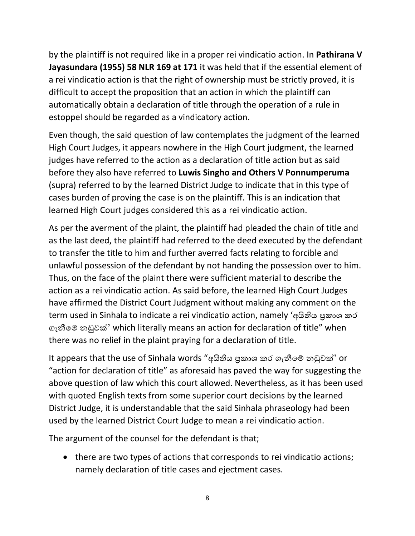by the plaintiff is not required like in a proper rei vindicatio action. In **Pathirana V Jayasundara (1955) 58 NLR 169 at 171** it was held that if the essential element of a rei vindicatio action is that the right of ownership must be strictly proved, it is difficult to accept the proposition that an action in which the plaintiff can automatically obtain a declaration of title through the operation of a rule in estoppel should be regarded as a vindicatory action.

Even though, the said question of law contemplates the judgment of the learned High Court Judges, it appears nowhere in the High Court judgment, the learned judges have referred to the action as a declaration of title action but as said before they also have referred to **Luwis Singho and Others V Ponnumperuma** (supra) referred to by the learned District Judge to indicate that in this type of cases burden of proving the case is on the plaintiff. This is an indication that learned High Court judges considered this as a rei vindicatio action.

As per the averment of the plaint, the plaintiff had pleaded the chain of title and as the last deed, the plaintiff had referred to the deed executed by the defendant to transfer the title to him and further averred facts relating to forcible and unlawful possession of the defendant by not handing the possession over to him. Thus, on the face of the plaint there were sufficient material to describe the action as a rei vindicatio action. As said before, the learned High Court Judges have affirmed the District Court Judgment without making any comment on the term used in Sinhala to indicate a rei vindicatio action, namely 'අයිතිය පුකාශ කර ගැනීමේ නඩුවක්' which literally means an action for declaration of title" when there was no relief in the plaint praying for a declaration of title.

It appears that the use of Sinhala words "අයිතිය පුකාශ කර ගැනීමේ නඩුවක්' or "action for declaration of title" as aforesaid has paved the way for suggesting the above question of law which this court allowed. Nevertheless, as it has been used with quoted English texts from some superior court decisions by the learned District Judge, it is understandable that the said Sinhala phraseology had been used by the learned District Court Judge to mean a rei vindicatio action.

The argument of the counsel for the defendant is that;

• there are two types of actions that corresponds to rei vindicatio actions; namely declaration of title cases and ejectment cases.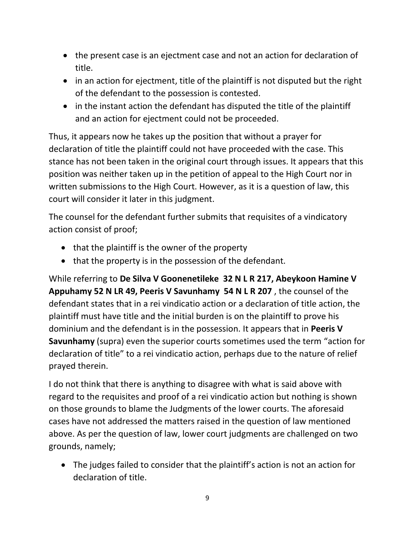- the present case is an ejectment case and not an action for declaration of title.
- in an action for ejectment, title of the plaintiff is not disputed but the right of the defendant to the possession is contested.
- in the instant action the defendant has disputed the title of the plaintiff and an action for ejectment could not be proceeded.

Thus, it appears now he takes up the position that without a prayer for declaration of title the plaintiff could not have proceeded with the case. This stance has not been taken in the original court through issues. It appears that this position was neither taken up in the petition of appeal to the High Court nor in written submissions to the High Court. However, as it is a question of law, this court will consider it later in this judgment.

The counsel for the defendant further submits that requisites of a vindicatory action consist of proof;

- that the plaintiff is the owner of the property
- that the property is in the possession of the defendant.

While referring to **De Silva V Goonenetileke 32 N L R 217, Abeykoon Hamine V Appuhamy 52 N LR 49, Peeris V Savunhamy 54 N L R 207** , the counsel of the defendant states that in a rei vindicatio action or a declaration of title action, the plaintiff must have title and the initial burden is on the plaintiff to prove his dominium and the defendant is in the possession. It appears that in **Peeris V Savunhamy** (supra) even the superior courts sometimes used the term "action for declaration of title" to a rei vindicatio action, perhaps due to the nature of relief prayed therein.

I do not think that there is anything to disagree with what is said above with regard to the requisites and proof of a rei vindicatio action but nothing is shown on those grounds to blame the Judgments of the lower courts. The aforesaid cases have not addressed the matters raised in the question of law mentioned above. As per the question of law, lower court judgments are challenged on two grounds, namely;

• The judges failed to consider that the plaintiff's action is not an action for declaration of title.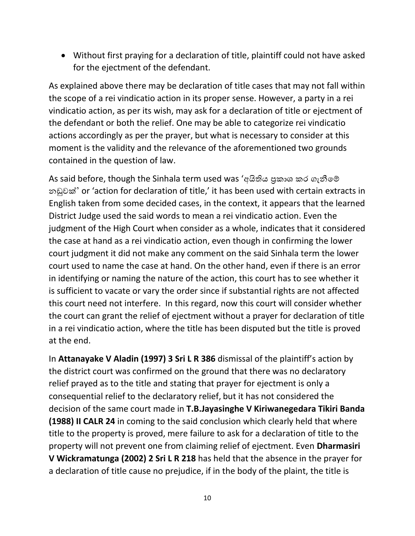• Without first praying for a declaration of title, plaintiff could not have asked for the ejectment of the defendant.

As explained above there may be declaration of title cases that may not fall within the scope of a rei vindicatio action in its proper sense. However, a party in a rei vindicatio action, as per its wish, may ask for a declaration of title or ejectment of the defendant or both the relief. One may be able to categorize rei vindicatio actions accordingly as per the prayer, but what is necessary to consider at this moment is the validity and the relevance of the aforementioned two grounds contained in the question of law.

As said before, though the Sinhala term used was 'අයිතිය පුකාශ කර ගැනීමේ නඩුවක්' or 'action for declaration of title,' it has been used with certain extracts in English taken from some decided cases, in the context, it appears that the learned District Judge used the said words to mean a rei vindicatio action. Even the judgment of the High Court when consider as a whole, indicates that it considered the case at hand as a rei vindicatio action, even though in confirming the lower court judgment it did not make any comment on the said Sinhala term the lower court used to name the case at hand. On the other hand, even if there is an error in identifying or naming the nature of the action, this court has to see whether it is sufficient to vacate or vary the order since if substantial rights are not affected this court need not interfere. In this regard, now this court will consider whether the court can grant the relief of ejectment without a prayer for declaration of title in a rei vindicatio action, where the title has been disputed but the title is proved at the end.

In **Attanayake V Aladin (1997) 3 Sri L R 386** dismissal of the plaintiff's action by the district court was confirmed on the ground that there was no declaratory relief prayed as to the title and stating that prayer for ejectment is only a consequential relief to the declaratory relief, but it has not considered the decision of the same court made in **T.B.Jayasinghe V Kiriwanegedara Tikiri Banda (1988) II CALR 24** in coming to the said conclusion which clearly held that where title to the property is proved, mere failure to ask for a declaration of title to the property will not prevent one from claiming relief of ejectment. Even **Dharmasiri V Wickramatunga (2002) 2 Sri L R 218** has held that the absence in the prayer for a declaration of title cause no prejudice, if in the body of the plaint, the title is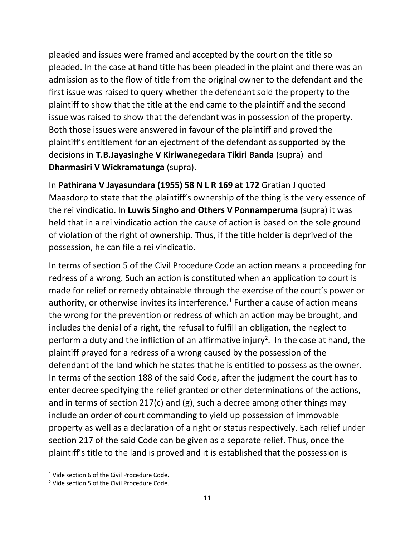pleaded and issues were framed and accepted by the court on the title so pleaded. In the case at hand title has been pleaded in the plaint and there was an admission as to the flow of title from the original owner to the defendant and the first issue was raised to query whether the defendant sold the property to the plaintiff to show that the title at the end came to the plaintiff and the second issue was raised to show that the defendant was in possession of the property. Both those issues were answered in favour of the plaintiff and proved the plaintiff's entitlement for an ejectment of the defendant as supported by the decisions in **T.B.Jayasinghe V Kiriwanegedara Tikiri Banda** (supra) and **Dharmasiri V Wickramatunga** (supra).

In **Pathirana V Jayasundara (1955) 58 N L R 169 at 172** Gratian J quoted Maasdorp to state that the plaintiff's ownership of the thing is the very essence of the rei vindicatio. In **Luwis Singho and Others V Ponnamperuma** (supra) it was held that in a rei vindicatio action the cause of action is based on the sole ground of violation of the right of ownership. Thus, if the title holder is deprived of the possession, he can file a rei vindicatio.

In terms of section 5 of the Civil Procedure Code an action means a proceeding for redress of a wrong. Such an action is constituted when an application to court is made for relief or remedy obtainable through the exercise of the court's power or authority, or otherwise invites its interference.<sup>1</sup> Further a cause of action means the wrong for the prevention or redress of which an action may be brought, and includes the denial of a right, the refusal to fulfill an obligation, the neglect to perform a duty and the infliction of an affirmative injury<sup>2</sup>. In the case at hand, the plaintiff prayed for a redress of a wrong caused by the possession of the defendant of the land which he states that he is entitled to possess as the owner. In terms of the section 188 of the said Code, after the judgment the court has to enter decree specifying the relief granted or other determinations of the actions, and in terms of section 217(c) and (g), such a decree among other things may include an order of court commanding to yield up possession of immovable property as well as a declaration of a right or status respectively. Each relief under section 217 of the said Code can be given as a separate relief. Thus, once the plaintiff's title to the land is proved and it is established that the possession is

<sup>&</sup>lt;sup>1</sup> Vide section 6 of the Civil Procedure Code.

<sup>&</sup>lt;sup>2</sup> Vide section 5 of the Civil Procedure Code.